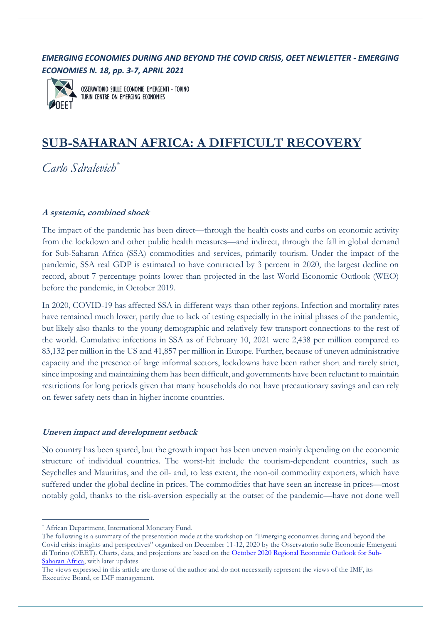## *EMERGING ECONOMIES DURING AND BEYOND THE COVID CRISIS, OEET NEWLETTER - EMERGING ECONOMIES N. 18, pp. 3-7, APRIL 2021*



OSSERVATORIO SULLE ECONOMIE EMERGENTI - TORINO TURIN CENTRE ON EMERGING ECONOMIES

# **SUB-SAHARAN AFRICA: A DIFFICULT RECOVERY**

*Carlo Sdralevich\**

## **A systemic, combined shock**

The impact of the pandemic has been direct—through the health costs and curbs on economic activity from the lockdown and other public health measures—and indirect, through the fall in global demand for Sub-Saharan Africa (SSA) commodities and services, primarily tourism. Under the impact of the pandemic, SSA real GDP is estimated to have contracted by 3 percent in 2020, the largest decline on record, about 7 percentage points lower than projected in the last World Economic Outlook (WEO) before the pandemic, in October 2019.

In 2020, COVID-19 has affected SSA in different ways than other regions. Infection and mortality rates have remained much lower, partly due to lack of testing especially in the initial phases of the pandemic, but likely also thanks to the young demographic and relatively few transport connections to the rest of the world. Cumulative infections in SSA as of February 10, 2021 were 2,438 per million compared to 83,132 per million in the US and 41,857 per million in Europe. Further, because of uneven administrative capacity and the presence of large informal sectors, lockdowns have been rather short and rarely strict, since imposing and maintaining them has been difficult, and governments have been reluctant to maintain restrictions for long periods given that many households do not have precautionary savings and can rely on fewer safety nets than in higher income countries.

### **Uneven impact and development setback**

No country has been spared, but the growth impact has been uneven mainly depending on the economic structure of individual countries. The worst-hit include the tourism-dependent countries, such as Seychelles and Mauritius, and the oil- and, to less extent, the non-oil commodity exporters, which have suffered under the global decline in prices. The commodities that have seen an increase in prices—most notably gold, thanks to the risk-aversion especially at the outset of the pandemic—have not done well

<sup>\*</sup> African Department, International Monetary Fund.

The following is a summary of the presentation made at the workshop on "Emerging economies during and beyond the Covid crisis: insights and perspectives" organized on December 11-12, 2020 by the Osservatorio sulle Economie Emergenti di Torino (OEET). Charts, data, and projections are based on the October 2020 [Regional Economic Outlook for Sub-](https://www.imf.org/en/Publications/REO/SSA/Issues/2020/10/22/regional-economic-outlook-sub-saharan-africa)[Saharan Africa,](https://www.imf.org/en/Publications/REO/SSA/Issues/2020/10/22/regional-economic-outlook-sub-saharan-africa) with later updates.

The views expressed in this article are those of the author and do not necessarily represent the views of the IMF, its Executive Board, or IMF management.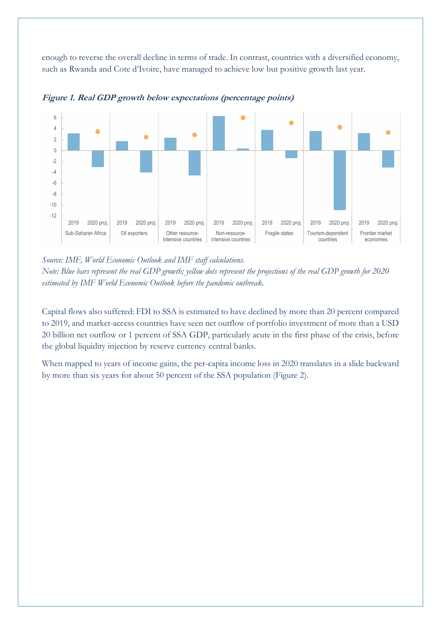enough to reverse the overall decline in terms of trade. In contrast, countries with a diversified economy, such as Rwanda and Cote d'Ivoire, have managed to achieve low but positive growth last year.



**Figure 1. Real GDP growth below expectations (percentage points)**

*Source: IMF, World Economic Outlook and IMF staff calculations.* Source: IMF, World Economic Outlook and IMF staff calculations.

*Note: Blue bars represent the real GDP growth; yellow dots represent the projections of the real GDP growth for 2020 estimated by IMF World Economic Outlook before the pandemic outbreak.*

Capital flows also suffered: FDI to SSA is estimated to have declined by more than 20 percent compared to 2019, and market-access countries have seen net outflow of portfolio investment of more than a USD 20 billion net outflow or 1 percent of SSA GDP, particularly acute in the first phase of the crisis, before the global liquidity injection by reserve currency central banks.

When mapped to years of income gains, the per-capita income loss in 2020 translates in a slide backward by more than six years for about 50 percent of the SSA population (Figure 2).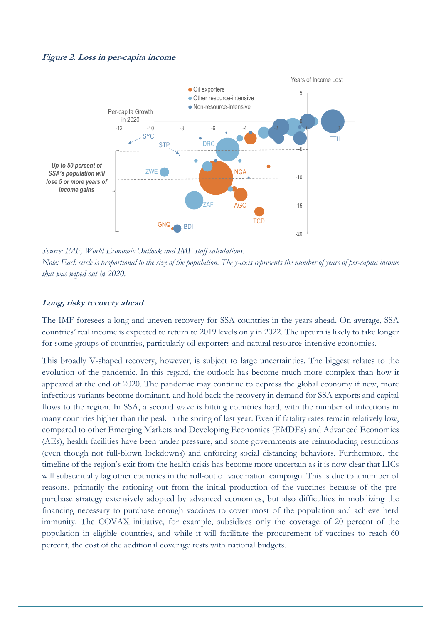



*Source: IMF, World Economic Outlook and IMF staff calculations.* Sources: IMF, World Economic Outlook and IMF staff calculations. Note: Each circle is proportional to the size of the population. The y-axis represents the number of years of per-capita income *that was wiped out in 2020.*

## **Long, risky recovery ahead**

The IMF foresees a long and uneven recovery for SSA countries in the years ahead. On average, SSA countries' real income is expected to return to 2019 levels only in 2022. The upturn is likely to take longer for some groups of countries, particularly oil exporters and natural resource-intensive economies.

This broadly V-shaped recovery, however, is subject to large uncertainties. The biggest relates to the evolution of the pandemic. In this regard, the outlook has become much more complex than how it appeared at the end of 2020. The pandemic may continue to depress the global economy if new, more infectious variants become dominant, and hold back the recovery in demand for SSA exports and capital flows to the region. In SSA, a second wave is hitting countries hard, with the number of infections in many countries higher than the peak in the spring of last year. Even if fatality rates remain relatively low, compared to other Emerging Markets and Developing Economies (EMDEs) and Advanced Economies (AEs), health facilities have been under pressure, and some governments are reintroducing restrictions (even though not full-blown lockdowns) and enforcing social distancing behaviors. Furthermore, the timeline of the region's exit from the health crisis has become more uncertain as it is now clear that LICs will substantially lag other countries in the roll-out of vaccination campaign. This is due to a number of reasons, primarily the rationing out from the initial production of the vaccines because of the prepurchase strategy extensively adopted by advanced economies, but also difficulties in mobilizing the financing necessary to purchase enough vaccines to cover most of the population and achieve herd immunity. The COVAX initiative, for example, subsidizes only the coverage of 20 percent of the population in eligible countries, and while it will facilitate the procurement of vaccines to reach 60 percent, the cost of the additional coverage rests with national budgets.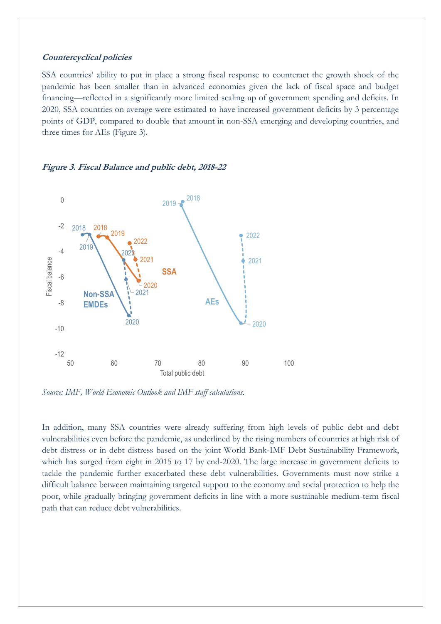#### **Countercyclical policies**

SSA countries' ability to put in place a strong fiscal response to counteract the growth shock of the pandemic has been smaller than in advanced economies given the lack of fiscal space and budget financing—reflected in a significantly more limited scaling up of government spending and deficits. In 2020, SSA countries on average were estimated to have increased government deficits by 3 percentage points of GDP, compared to double that amount in non-SSA emerging and developing countries, and three times for AEs (Figure 3).

#### **Figure 3. Fiscal Balance and public debt, 2018-22**



*Source: IMF, World Economic Outlook and IMF staff calculations.* Source: IMF, World Economic Outlook and IMF staff calculations.

In addition, many SSA countries were already suffering from high levels of public debt and debt vulnerabilities even before the pandemic, as underlined by the rising numbers of countries at high risk of debt distress or in debt distress based on the joint World Bank-IMF Debt Sustainability Framework, which has surged from eight in 2015 to 17 by end-2020. The large increase in government deficits to tackle the pandemic further exacerbated these debt vulnerabilities. Governments must now strike a difficult balance between maintaining targeted support to the economy and social protection to help the poor, while gradually bringing government deficits in line with a more sustainable medium-term fiscal path that can reduce debt vulnerabilities.